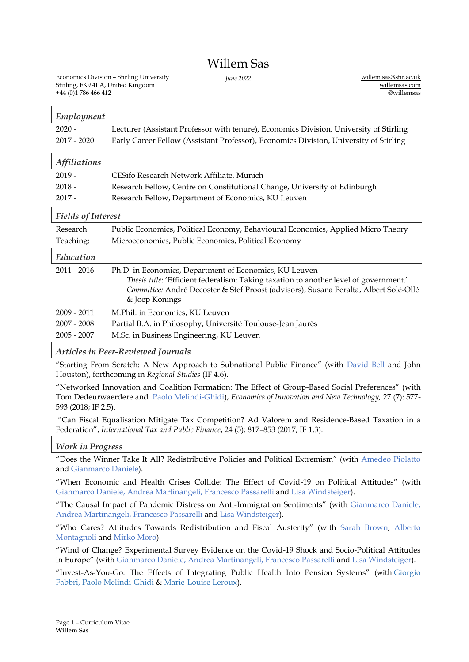# Willem Sas

Economics Division – Stirling University Stirling, FK9 4LA, United Kingdom +44 (0)1 786 466 412

*June 2022* [willem.sas@stir.ac.uk](mailto:willem.sas@stir.ac.uk) [willemsas.com](https://willemsas.wordpress.com/) [@willemsas](https://twitter.com/WillemSas)

|                           | Employment                 |                                                                                                                                                                                                                                                           |  |  |
|---------------------------|----------------------------|-----------------------------------------------------------------------------------------------------------------------------------------------------------------------------------------------------------------------------------------------------------|--|--|
|                           | $2020 -$                   | Lecturer (Assistant Professor with tenure), Economics Division, University of Stirling                                                                                                                                                                    |  |  |
|                           | $2017 - 2020$              | Early Career Fellow (Assistant Professor), Economics Division, University of Stirling                                                                                                                                                                     |  |  |
|                           |                            |                                                                                                                                                                                                                                                           |  |  |
|                           | <i><b>Affiliations</b></i> |                                                                                                                                                                                                                                                           |  |  |
|                           | $2019 -$                   | CESifo Research Network Affiliate, Munich                                                                                                                                                                                                                 |  |  |
|                           | $2018 -$                   | Research Fellow, Centre on Constitutional Change, University of Edinburgh                                                                                                                                                                                 |  |  |
|                           | $2017 -$                   | Research Fellow, Department of Economics, KU Leuven                                                                                                                                                                                                       |  |  |
| <b>Fields of Interest</b> |                            |                                                                                                                                                                                                                                                           |  |  |
|                           | Research:                  | Public Economics, Political Economy, Behavioural Economics, Applied Micro Theory                                                                                                                                                                          |  |  |
|                           | Teaching:                  | Microeconomics, Public Economics, Political Economy                                                                                                                                                                                                       |  |  |
|                           | Education                  |                                                                                                                                                                                                                                                           |  |  |
|                           | 2011 - 2016                | Ph.D. in Economics, Department of Economics, KU Leuven<br>Thesis title: 'Efficient federalism: Taking taxation to another level of government.'<br>Committee: André Decoster & Stef Proost (advisors), Susana Peralta, Albert Solé-Ollé<br>& Joep Konings |  |  |
|                           | $2009 - 2011$              | M.Phil. in Economics, KU Leuven                                                                                                                                                                                                                           |  |  |
|                           | $2007 - 2008$              | Partial B.A. in Philosophy, Université Toulouse-Jean Jaurès                                                                                                                                                                                               |  |  |
|                           | $2005 - 2007$              | M.Sc. in Business Engineering, KU Leuven                                                                                                                                                                                                                  |  |  |
|                           |                            |                                                                                                                                                                                                                                                           |  |  |

# *Articles in Peer-Reviewed Journals*

"Starting From Scratch: A New Approach to Subnational Public Finance" (with [David Bell](https://scholar.google.com/citations?user=k9K7S6AAAAAJ&hl=en) and John Houston), forthcoming in *Regional Studies* (IF 4.6).

"Networked Innovation and Coalition Formation: The Effect of Group-Based Social Preferences" (with Tom Dedeurwaerdere and [Paolo Melindi-Ghidi\)](https://sites.google.com/site/pmelindighidiecon/), *Economics of Innovation and New Technology,* 27 (7): 577- 593 (2018; IF 2.5).

"Can Fiscal Equalisation Mitigate Tax Competition? Ad Valorem and Residence-Based Taxation in a Federation", *International Tax and Public Finance*, 24 (5): 817–853 (2017; IF 1.3).

# *Work in Progress*

"Does the Winner Take It All? Redistributive Policies and Political Extremism" (with [Amedeo Piolatto](https://sites.google.com/site/piolatto/) and [Gianmarco Daniele\)](http://www.gianmarcodaniele.com/).

"When Economic and Health Crises Collide: The Effect of Covid-19 on Political Attitudes" (with [Gianmarco Daniele,](http://www.gianmarcodaniele.com/) [Andrea Martinangeli,](https://andreamartinangeli.com/) [Francesco Passarelli](http://www.francescopassarelli.com/francesco-passarelli-recent-publications.html) and Lisa [Windsteiger\)](https://sites.google.com/view/lisawindsteiger/home).

"The Causal Impact of Pandemic Distress on Anti-Immigration Sentiments" (with [Gianmarco Daniele,](http://www.gianmarcodaniele.com/) [Andrea Martinangeli,](https://andreamartinangeli.com/) [Francesco Passarelli](http://www.francescopassarelli.com/francesco-passarelli-recent-publications.html) and [Lisa Windsteiger\)](https://sites.google.com/view/lisawindsteiger/home).

"Who Cares? Attitudes Towards Redistribution and Fiscal Austerity" (with [Sarah Brown,](https://www.sheffield.ac.uk/economics/people/sbrown) [Alberto](https://www.sheffield.ac.uk/economics/people/alberto-montagnoli)  [Montagnoli](https://www.sheffield.ac.uk/economics/people/alberto-montagnoli) and [Mirko Moro\)](https://www.mirkomoro.com/).

"Wind of Change? Experimental Survey Evidence on the Covid-19 Shock and Socio-Political Attitudes in Europe" (with [Gianmarco Daniele,](http://www.gianmarcodaniele.com/) [Andrea Martinangeli,](https://andreamartinangeli.com/) [Francesco Passarelli](http://www.francescopassarelli.com/francesco-passarelli-recent-publications.html) and [Lisa Windsteiger\)](https://sites.google.com/view/lisawindsteiger/home).

"Invest-As-You-Go: The Effects of Integrating Public Health Into Pension Systems" (with [Giorgio](https://sites.google.com/site/giorgiofabbri1979/Home)  [Fabbri,](https://sites.google.com/site/giorgiofabbri1979/Home) [Paolo Melindi-Ghidi](https://sites.google.com/site/pmelindighidiecon/) & [Marie-Louise Leroux\)](https://sites.google.com/site/mllerouxeconomics/).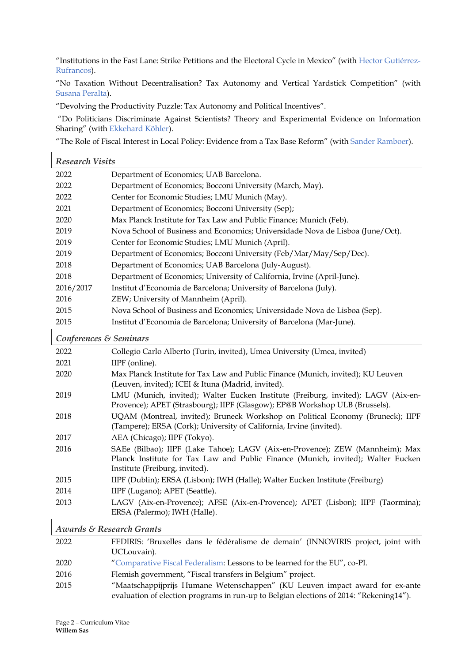"Institutions in the Fast Lane: Strike Petitions and the Electoral Cycle in Mexico" (with [Hector Gutiérrez-](https://rufrancos.org/)[Rufrancos\)](https://rufrancos.org/).

"No Taxation Without Decentralisation? Tax Autonomy and Vertical Yardstick Competition" (with [Susana Peralta\)](http://www.novasbe.unl.pt/faculty-research/research-unit/research-unit-members/item/peralta-susana).

"Devolving the Productivity Puzzle: Tax Autonomy and Political Incentives".

"Do Politicians Discriminate Against Scientists? Theory and Experimental Evidence on Information Sharing" (with [Ekkehard Köhler\)](https://www.eucken.de/mitarbeiter/ekkehard-koehler/).

"The Role of Fiscal Interest in Local Policy: Evidence from a Tax Base Reform" (with [Sander Ramboer\)](https://sanderramboer.com/).

| <b>Research Visits</b>              |                                                                                                                                                                                                     |  |  |  |
|-------------------------------------|-----------------------------------------------------------------------------------------------------------------------------------------------------------------------------------------------------|--|--|--|
| 2022                                | Department of Economics; UAB Barcelona.                                                                                                                                                             |  |  |  |
| 2022                                | Department of Economics; Bocconi University (March, May).                                                                                                                                           |  |  |  |
| 2022                                | Center for Economic Studies; LMU Munich (May).                                                                                                                                                      |  |  |  |
| 2021                                | Department of Economics; Bocconi University (Sep);                                                                                                                                                  |  |  |  |
| 2020                                | Max Planck Institute for Tax Law and Public Finance; Munich (Feb).                                                                                                                                  |  |  |  |
| 2019                                | Nova School of Business and Economics; Universidade Nova de Lisboa (June/Oct).                                                                                                                      |  |  |  |
| 2019                                | Center for Economic Studies; LMU Munich (April).                                                                                                                                                    |  |  |  |
| 2019                                | Department of Economics; Bocconi University (Feb/Mar/May/Sep/Dec).                                                                                                                                  |  |  |  |
| 2018                                | Department of Economics; UAB Barcelona (July-August).                                                                                                                                               |  |  |  |
| 2018                                | Department of Economics; University of California, Irvine (April-June).                                                                                                                             |  |  |  |
| 2016/2017                           | Institut d'Economia de Barcelona; University of Barcelona (July).                                                                                                                                   |  |  |  |
| 2016                                | ZEW; University of Mannheim (April).                                                                                                                                                                |  |  |  |
| 2015                                | Nova School of Business and Economics; Universidade Nova de Lisboa (Sep).                                                                                                                           |  |  |  |
| 2015                                | Institut d'Economia de Barcelona; University of Barcelona (Mar-June).                                                                                                                               |  |  |  |
| Conferences & Seminars              |                                                                                                                                                                                                     |  |  |  |
| 2022                                | Collegio Carlo Alberto (Turin, invited), Umea University (Umea, invited)                                                                                                                            |  |  |  |
| 2021                                | IIPF (online).                                                                                                                                                                                      |  |  |  |
| 2020                                | Max Planck Institute for Tax Law and Public Finance (Munich, invited); KU Leuven<br>(Leuven, invited); ICEI & Ituna (Madrid, invited).                                                              |  |  |  |
| 2019                                | LMU (Munich, invited); Walter Eucken Institute (Freiburg, invited); LAGV (Aix-en-<br>Provence); APET (Strasbourg); IIPF (Glasgow); EP@B Workshop ULB (Brussels).                                    |  |  |  |
| 2018                                | UQAM (Montreal, invited); Bruneck Workshop on Political Economy (Bruneck); IIPF<br>(Tampere); ERSA (Cork); University of California, Irvine (invited).                                              |  |  |  |
| 2017                                | AEA (Chicago); IIPF (Tokyo).                                                                                                                                                                        |  |  |  |
| 2016                                | SAEe (Bilbao); IIPF (Lake Tahoe); LAGV (Aix-en-Provence); ZEW (Mannheim); Max<br>Planck Institute for Tax Law and Public Finance (Munich, invited); Walter Eucken<br>Institute (Freiburg, invited). |  |  |  |
| 2015                                | IIPF (Dublin); ERSA (Lisbon); IWH (Halle); Walter Eucken Institute (Freiburg)                                                                                                                       |  |  |  |
| 2014                                | IIPF (Lugano); APET (Seattle).                                                                                                                                                                      |  |  |  |
| 2013                                | LAGV (Aix-en-Provence); AFSE (Aix-en-Provence); APET (Lisbon); IIPF (Taormina);                                                                                                                     |  |  |  |
|                                     | ERSA (Palermo); IWH (Halle).                                                                                                                                                                        |  |  |  |
| <b>Awards &amp; Research Grants</b> |                                                                                                                                                                                                     |  |  |  |
| 2022                                | FEDIRIS: 'Bruxelles dans le fédéralisme de demain' (INNOVIRIS project, joint with<br>UCLouvain).                                                                                                    |  |  |  |

2020 "[Comparative Fiscal Federalism:](https://fiscalfederalism.eu/) Lessons to be learned for the EU", co-PI.

- 2016 Flemish government, "Fiscal transfers in Belgium" project.
- 2015 "Maatschappijprijs Humane Wetenschappen" (KU Leuven impact award for ex-ante evaluation of election programs in run-up to Belgian elections of 2014: "Rekening14").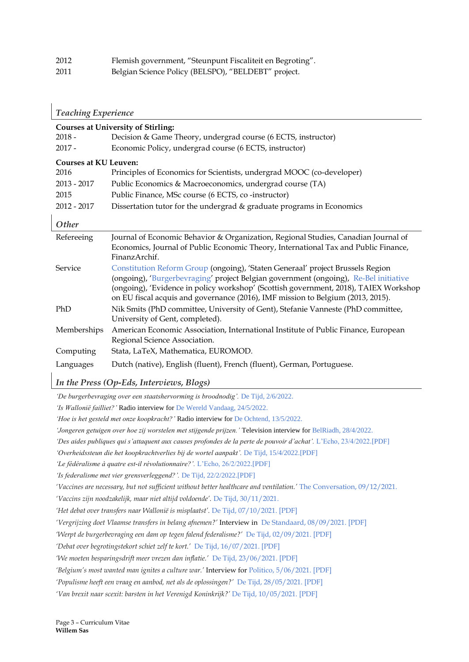| 2012 | Flemish government, "Steunpunt Fiscaliteit en Begroting". |
|------|-----------------------------------------------------------|
| 2011 | Belgian Science Policy (BELSPO), "BELDEBT" project.       |

| <b>Teaching Experience</b>                |                                                                                                                                                                                                                                                                                                                                                   |  |  |  |
|-------------------------------------------|---------------------------------------------------------------------------------------------------------------------------------------------------------------------------------------------------------------------------------------------------------------------------------------------------------------------------------------------------|--|--|--|
| <b>Courses at University of Stirling:</b> |                                                                                                                                                                                                                                                                                                                                                   |  |  |  |
| $2018 -$                                  | Decision & Game Theory, undergrad course (6 ECTS, instructor)                                                                                                                                                                                                                                                                                     |  |  |  |
| $2017 -$                                  | Economic Policy, undergrad course (6 ECTS, instructor)                                                                                                                                                                                                                                                                                            |  |  |  |
|                                           | <b>Courses at KU Leuven:</b>                                                                                                                                                                                                                                                                                                                      |  |  |  |
| 2016                                      | Principles of Economics for Scientists, undergrad MOOC (co-developer)                                                                                                                                                                                                                                                                             |  |  |  |
| 2013 - 2017                               | Public Economics & Macroeconomics, undergrad course (TA)                                                                                                                                                                                                                                                                                          |  |  |  |
| 2015                                      | Public Finance, MSc course (6 ECTS, co-instructor)                                                                                                                                                                                                                                                                                                |  |  |  |
| $2012 - 2017$                             | Dissertation tutor for the undergrad & graduate programs in Economics                                                                                                                                                                                                                                                                             |  |  |  |
| Other                                     |                                                                                                                                                                                                                                                                                                                                                   |  |  |  |
| Refereeing                                | Journal of Economic Behavior & Organization, Regional Studies, Canadian Journal of<br>Economics, Journal of Public Economic Theory, International Tax and Public Finance,<br>FinanzArchif.                                                                                                                                                        |  |  |  |
| Service                                   | Constitution Reform Group (ongoing), 'Staten Generaal' project Brussels Region<br>(ongoing), 'Burgerbevraging' project Belgian government (ongoing), Re-Bel initiative<br>(ongoing), 'Evidence in policy workshop' (Scottish government, 2018), TAIEX Workshop<br>on EU fiscal acquis and governance (2016), IMF mission to Belgium (2013, 2015). |  |  |  |
| PhD                                       | Nik Smits (PhD committee, University of Gent), Stefanie Vanneste (PhD committee,<br>University of Gent, completed).                                                                                                                                                                                                                               |  |  |  |
| Memberships                               | American Economic Association, International Institute of Public Finance, European<br>Regional Science Association.                                                                                                                                                                                                                               |  |  |  |
| Computing                                 | Stata, LaTeX, Mathematica, EUROMOD.                                                                                                                                                                                                                                                                                                               |  |  |  |
| Languages                                 | Dutch (native), English (fluent), French (fluent), German, Portuguese.                                                                                                                                                                                                                                                                            |  |  |  |

*In the Press (Op-Eds, Interviews, Blogs)*

*'De burgerbevraging over een staatshervorming is broodnodig'.* De Tijd, 2/6/2022.

*'Is Wallonië failliet?'* Radio interview for De Wereld Vandaag, 24/5/2022.

*'Hoe is het gesteld met onze koopkracht?'* Radio interview for De Ochtend, 13/5/2022.

*'Jongeren getuigen over hoe zij worstelen met stijgende prijzen.'* Television interview for BelRiadh, 28/4/2022.

*'Des aides publiques qui s'attaquent aux causes profondes de la perte de pouvoir d'achat'.* L'Echo, 23/4/2022.[PDF]

*'Overheidssteun die het koopkrachtverlies bij de wortel aanpakt'.* De Tijd, 15/4/2022.[PDF]

*'Le fédéralisme à quatre est-il révolutionnaire?'.* L'Echo, 26/2/2022.[PDF]

*'Is federalisme met vier grensverleggend?'.* De Tijd, 22/2/2022.[PDF]

*'Vaccines are necessary, but not sufficient without better healthcare and ventilation.'* The Conversation, 09/12/2021.

*'Vaccins zijn noodzakelijk, maar niet altijd voldoende'.* De Tijd, 30/11/2021.

*'Het debat over transfers naar Wallonië is misplaatst'.* De Tijd, 07/10/2021. [PDF]

*'Vergrijzing doet Vlaamse transfers in belang afnemen?'* Interview in De Standaard, 08/09/2021. [PDF]

*'Werpt de burgerbevraging een dam op tegen falend federalisme?'* De Tijd, 02/09/2021. [PDF]

*'Debat over begrotingstekort schiet zelf te kort.'* De Tijd, 16/07/2021. [PDF]

*'We moeten besparingsdrift meer vrezen dan inflatie.'* De Tijd, 23/06/2021. [PDF]

*'Belgium's most wanted man ignites a culture war.'* Interview for Politico, 5/06/2021. [PDF]

*'Populisme heeft een vraag en aanbod, net als de oplossingen?'* De Tijd, 28/05/2021. [PDF]

*'Van brexit naar scexit: barsten in het Verenigd Koninkrijk?'* De Tijd, 10/05/2021. [PDF]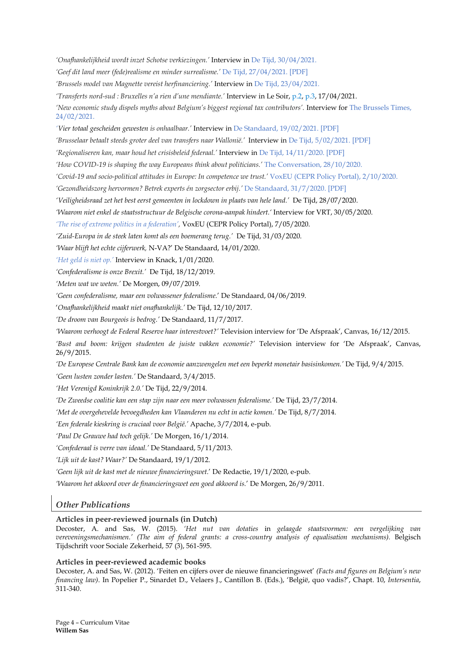*'Onafhankelijkheid wordt inzet Schotse verkiezingen.'* Interview in De Tijd, 30/04/2021.

*'Geef dit land meer (fede)realisme en minder surrealisme.'* De Tijd, 27/04/2021. [PDF]

*'Brussels model van Magnette vereist herfinanciering.'* Interview in De Tijd, 23/04/2021*.*

*'Transferts nord-sud : Bruxelles n'a rien d'une mendiante.'* Interview in Le Soir, p.2, p.3, 17/04/2021.

*'New economic study dispels myths about Belgium's biggest regional tax contributors'.* Interview for The Brussels Times, 24/02/2021.

*'Vier totaal gescheiden gewesten is onhaalbaar.'* Interview in De Standaard, 19/02/2021. [PDF]

*'Brusselaar betaalt steeds groter deel van transfers naar Wallonië.'* Interview in De Tijd, 5/02/2021. [PDF]

*'Regionaliseren kan, maar houd het crisisbeleid federaal.'* Interview in De Tijd, 14/11/2020. [PDF]

*'How COVID-19 is shaping the way Europeans think about politicians.'* The Conversation, 28/10/2020.

*'Covid-19 and socio-political attitudes in Europe: In competence we trust.'* VoxEU (CEPR Policy Portal), 2/10/2020.

*'Gezondheidszorg hervormen? Betrek experts én zorgsector erbij.'* De Standaard, 31/7/2020. [PDF]

*'Veiligheidsraad zet het best eerst gemeenten in lockdown in plaats van hele land.'* De Tijd, 28/07/2020.

*'Waarom niet enkel de staatsstructuur de Belgische corona-aanpak hindert.'* Interview for VRT, 30/05/2020.

*'The rise of extreme politics in a federation',* VoxEU (CEPR Policy Portal), 7/05/2020.

*'Zuid-Europa in de steek laten komt als een boemerang terug.'* De Tijd, 31/03/2020.

*'Waar blijft het echte cijferwerk,* N-VA?' De Standaard, 14/01/2020.

*'Het geld is niet op.'* Interview in Knack, 1/01/2020.

*'Confederalisme is onze Brexit.'* De Tijd, 18/12/2019.

*'Meten wat we weten.'* De Morgen, 09/07/2019.

*'Geen confederalisme, maar een volwassener federalisme.*' De Standaard, 04/06/2019.

'*Onafhankelijkheid maakt niet onafhankelijk.'* De Tijd, 12/10/2017.

*'De droom van Bourgeois is bedrog.'* De Standaard, 11/7/2017.

*'Waarom verhoogt de Federal Reserve haar interestvoet?'* Television interview for 'De Afspraak', Canvas, 16/12/2015.

*'Bust and boom: krijgen studenten de juiste vakken economie?'* Television interview for 'De Afspraak', Canvas, 26/9/2015.

*'De Europese Centrale Bank kan de economie aanzwengelen met een beperkt monetair basisinkomen.'* De Tijd, 9/4/2015.

*'Geen lusten zonder lasten.'* De Standaard, 3/4/2015.

*'Het Verenigd Koninkrijk 2.0.'* De Tijd, 22/9/2014.

*'De Zweedse coalitie kan een stap zijn naar een meer volwassen federalisme.'* De Tijd, 23/7/2014.

*'Met de overgehevelde bevoegdheden kan Vlaanderen nu echt in actie komen.'* De Tijd, 8/7/2014.

*'Een federale kieskring is cruciaal voor België.'* Apache, 3/7/2014, e-pub.

*'Paul De Grauwe had toch gelijk.'* De Morgen, 16/1/2014.

*'Confederaal is verre van ideaal.'* De Standaard, 5/11/2013.

*'Lijk uit de kast? Waar?'* De Standaard, 19/1/2012.

*'Geen lijk uit de kast met de nieuwe financieringswet.*' De Redactie, 19/1/2020, e-pub.

*'Waarom het akkoord over de financieringswet een goed akkoord is.*' De Morgen, 26/9/2011.

# *Other Publications*

## **Articles in peer-reviewed journals (in Dutch)**

Decoster, A. and Sas, W. (2015). *'Het nut van dotaties* in *gelaagde staatsvormen: een vergelijking van vereveningsmechanismen.' (The aim of federal grants: a cross-country analysis of equalisation mechanisms).* Belgisch Tijdschrift voor Sociale Zekerheid, 57 (3), 561-595.

#### **Articles in peer-reviewed academic books**

Decoster, A. and Sas, W. (2012). 'Feiten en cijfers over de nieuwe financieringswet' *(Facts and figures on Belgium's new financing law)*. In Popelier P., Sinardet D., Velaers J., Cantillon B. (Eds.), 'België, quo vadis?', Chapt. 10, *Intersentia*, 311-340.